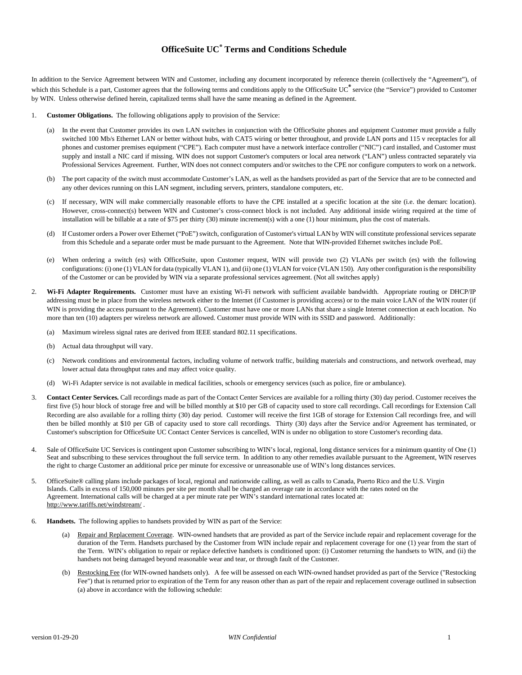## **OfficeSuite UC® Terms and Conditions Schedule**

In addition to the Service Agreement between WIN and Customer, including any document incorporated by reference therein (collectively the "Agreement"), of which this Schedule is a part, Customer agrees that the following terms and conditions apply to the OfficeSuite UC<sup>®</sup> service (the "Service") provided to Customer by WIN. Unless otherwise defined herein, capitalized terms shall have the same meaning as defined in the Agreement.

- 1. **Customer Obligations.** The following obligations apply to provision of the Service:
	- (a) In the event that Customer provides its own LAN switches in conjunction with the OfficeSuite phones and equipment Customer must provide a fully switched 100 Mb/s Ethernet LAN or better without hubs, with CAT5 wiring or better throughout, and provide LAN ports and 115 v receptacles for all phones and customer premises equipment ("CPE"). Each computer must have a network interface controller ("NIC") card installed, and Customer must supply and install a NIC card if missing. WIN does not support Customer's computers or local area network ("LAN") unless contracted separately via Professional Services Agreement. Further, WIN does not connect computers and/or switches to the CPE nor configure computers to work on a network.
	- (b) The port capacity of the switch must accommodate Customer's LAN, as well as the handsets provided as part of the Service that are to be connected and any other devices running on this LAN segment, including servers, printers, standalone computers, etc.
	- (c) If necessary, WIN will make commercially reasonable efforts to have the CPE installed at a specific location at the site (i.e. the demarc location). However, cross-connect(s) between WIN and Customer's cross-connect block is not included. Any additional inside wiring required at the time of installation will be billable at a rate of \$75 per thirty (30) minute increment(s) with a one (1) hour minimum, plus the cost of materials.
	- (d) If Customer orders a Power over Ethernet ("PoE") switch, configuration of Customer's virtual LAN by WIN will constitute professional services separate from this Schedule and a separate order must be made pursuant to the Agreement. Note that WIN-provided Ethernet switches include PoE.
	- (e) When ordering a switch (es) with OfficeSuite, upon Customer request, WIN will provide two (2) VLANs per switch (es) with the following configurations: (i) one (1) VLAN for data (typically VLAN 1), and (ii) one (1) VLAN for voice (VLAN 150). Any other configuration is the responsibility of the Customer or can be provided by WIN via a separate professional services agreement. (Not all switches apply)
- 2. **Wi-Fi Adapter Requirements.** Customer must have an existing Wi-Fi network with sufficient available bandwidth. Appropriate routing or DHCP/IP addressing must be in place from the wireless network either to the Internet (if Customer is providing access) or to the main voice LAN of the WIN router (if WIN is providing the access pursuant to the Agreement). Customer must have one or more LANs that share a single Internet connection at each location. No more than ten (10) adapters per wireless network are allowed. Customer must provide WIN with its SSID and password. Additionally:
	- (a) Maximum wireless signal rates are derived from IEEE standard 802.11 specifications.
	- (b) Actual data throughput will vary.
	- (c) Network conditions and environmental factors, including volume of network traffic, building materials and constructions, and network overhead, may lower actual data throughput rates and may affect voice quality.
	- (d) Wi-Fi Adapter service is not available in medical facilities, schools or emergency services (such as police, fire or ambulance).
- 3. **Contact Center Services.** Call recordings made as part of the Contact Center Services are available for a rolling thirty (30) day period. Customer receives the first five (5) hour block of storage free and will be billed monthly at \$10 per GB of capacity used to store call recordings. Call recordings for Extension Call Recording are also available for a rolling thirty (30) day period. Customer will receive the first 1GB of storage for Extension Call recordings free, and will then be billed monthly at \$10 per GB of capacity used to store call recordings. Thirty (30) days after the Service and/or Agreement has terminated, or Customer's subscription for OfficeSuite UC Contact Center Services is cancelled, WIN is under no obligation to store Customer's recording data.
- 4. Sale of OfficeSuite UC Services is contingent upon Customer subscribing to WIN's local, regional, long distance services for a minimum quantity of One (1) Seat and subscribing to these services throughout the full service term. In addition to any other remedies available pursuant to the Agreement, WIN reserves the right to charge Customer an additional price per minute for excessive or unreasonable use of WIN's long distances services.
- 5. OfficeSuite® calling plans include packages of local, regional and nationwide calling, as well as calls to Canada, Puerto Rico and the U.S. Virgin Islands. Calls in excess of 150,000 minutes per site per month shall be charged an overage rate in accordance with the rates noted on the Agreement. International calls will be charged at a per minute rate per WIN's standard international rates located at: <http://www.tariffs.net/windstream/> .
- 6. **Handsets.** The following applies to handsets provided by WIN as part of the Service:
	- Repair and Replacement Coverage. WIN-owned handsets that are provided as part of the Service include repair and replacement coverage for the duration of the Term. Handsets purchased by the Customer from WIN include repair and replacement coverage for one (1) year from the start of the Term. WIN's obligation to repair or replace defective handsets is conditioned upon: (i) Customer returning the handsets to WIN, and (ii) the handsets not being damaged beyond reasonable wear and tear, or through fault of the Customer.
	- (b) Restocking Fee (for WIN-owned handsets only). A fee will be assessed on each WIN-owned handset provided as part of the Service ("Restocking Fee") that is returned prior to expiration of the Term for any reason other than as part of the repair and replacement coverage outlined in subsection (a) above in accordance with the following schedule: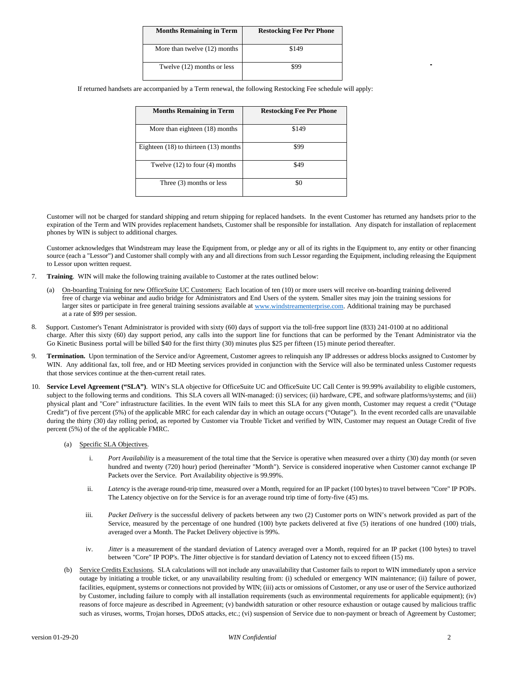| <b>Months Remaining in Term</b> | <b>Restocking Fee Per Phone</b> |
|---------------------------------|---------------------------------|
| More than twelve (12) months    | \$149                           |
| Twelve (12) months or less      |                                 |

If returned handsets are accompanied by a Term renewal, the following Restocking Fee schedule will apply:

| <b>Months Remaining in Term</b>           | <b>Restocking Fee Per Phone</b> |
|-------------------------------------------|---------------------------------|
| More than eighteen (18) months            | \$149                           |
| Eighteen $(18)$ to thirteen $(13)$ months | \$99                            |
| Twelve $(12)$ to four $(4)$ months        | \$49                            |
| Three $(3)$ months or less                | \$0                             |

Customer will not be charged for standard shipping and return shipping for replaced handsets. In the event Customer has returned any handsets prior to the expiration of the Term and WIN provides replacement handsets, Customer shall be responsible for installation. Any dispatch for installation of replacement phones by WIN is subject to additional charges.

Customer acknowledges that Windstream may lease the Equipment from, or pledge any or all of its rights in the Equipment to, any entity or other financing source (each a "Lessor") and Customer shall comply with any and all directions from such Lessor regarding the Equipment, including releasing the Equipment to Lessor upon written request.

- 7. **Training**. WIN will make the following training available to Customer at the rates outlined below:
	- (a) On-boarding Training for new OfficeSuite UC Customers: Each location of ten (10) or more users will receive on-boarding training delivered free of charge via webinar and audio bridge for Administrators and End Users of the system. Smaller sites may join the training sessions for larger sites or participate in free general training sessions available at [www.windstreamenterprise.com.](http://www.windstreamenterprise.com/) Additional training may be purchased at a rate of \$99 per session.
- 8. charge. After this sixty (60) day support period, any calls into the support line for functions that can be performed by the Tenant Administrator via the Support. Customer's Tenant Administrator is provided with sixty (60) days of support via the toll-free support line (833) 241-0100 at no additional Go Kinetic Business portal will be billed \$40 for the first thirty (30) minutes plus \$25 per fifteen (15) minute period thereafter.
- 9. **Termination.** Upon termination of the Service and/or Agreement, Customer agrees to relinquish any IP addresses or address blocks assigned to Customer by WIN. Any additional fax, toll free, and or HD Meeting services provided in conjunction with the Service will also be terminated unless Customer requests that those services continue at the then-current retail rates.
- 10. **Service Level Agreement ("SLA")**. WIN's SLA objective for OfficeSuite UC and OfficeSuite UC Call Center is 99.99% availability to eligible customers, subject to the following terms and conditions. This SLA covers all WIN-managed: (i) services; (ii) hardware, CPE, and software platforms/systems; and (iii) physical plant and "Core" infrastructure facilities. In the event WIN fails to meet this SLA for any given month, Customer may request a credit ("Outage Credit") of five percent (5%) of the applicable MRC for each calendar day in which an outage occurs ("Outage"). In the event recorded calls are unavailable during the thirty (30) day rolling period, as reported by Customer via Trouble Ticket and verified by WIN, Customer may request an Outage Credit of five percent (5%) of the of the applicable FMRC.
	- (a) Specific SLA Objectives.
		- i. *Port Availability* is a measurement of the total time that the Service is operative when measured over a thirty (30) day month (or seven hundred and twenty (720) hour) period (hereinafter "Month"). Service is considered inoperative when Customer cannot exchange IP Packets over the Service. Port Availability objective is 99.99%.
		- ii. *Latency* is the average round-trip time, measured over a Month, required for an IP packet (100 bytes) to travel between "Core" IP POPs. The Latency objective on for the Service is for an average round trip time of forty-five (45) ms.
		- iii. *Packet Delivery* is the successful delivery of packets between any two (2) Customer ports on WIN's network provided as part of the Service, measured by the percentage of one hundred (100) byte packets delivered at five (5) iterations of one hundred (100) trials, averaged over a Month. The Packet Delivery objective is 99%.
		- iv. *Jitter* is a measurement of the standard deviation of Latency averaged over a Month, required for an IP packet (100 bytes) to travel between "Core" IP POP's. The Jitter objective is for standard deviation of Latency not to exceed fifteen (15) ms.
	- (b) Service Credits Exclusions.SLA calculations will not include any unavailability that Customer fails to report to WIN immediately upon a service outage by initiating a trouble ticket, or any unavailability resulting from: (i) scheduled or emergency WIN maintenance; (ii) failure of power, facilities, equipment, systems or connections not provided by WIN; (iii) acts or omissions of Customer, or any use or user of the Service authorized by Customer, including failure to comply with all installation requirements (such as environmental requirements for applicable equipment); (iv) reasons of force majeure as described in Agreement; (v) bandwidth saturation or other resource exhaustion or outage caused by malicious traffic such as viruses, worms, Trojan horses, DDoS attacks, etc.; (vi) suspension of Service due to non-payment or breach of Agreement by Customer;